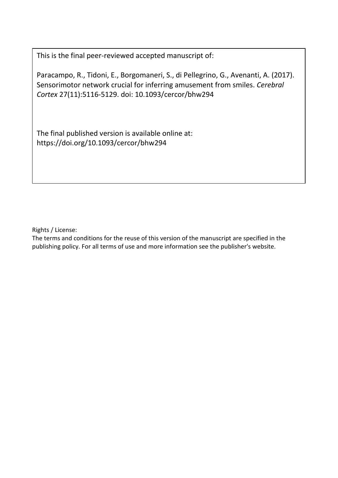This is the final peer-reviewed accepted manuscript of:

Paracampo, R., Tidoni, E., Borgomaneri, S., di Pellegrino, G., Avenanti, A. (2017). Sensorimotor network crucial for inferring amusement from smiles. *Cerebral Cortex* 27(11):5116-5129. doi: 10.1093/cercor/bhw294

The final published version is available online at: https://doi.org/10.1093/cercor/bhw294

Rights / License:

The terms and conditions for the reuse of this version of the manuscript are specified in the publishing policy. For all terms of use and more information see the publisher's website.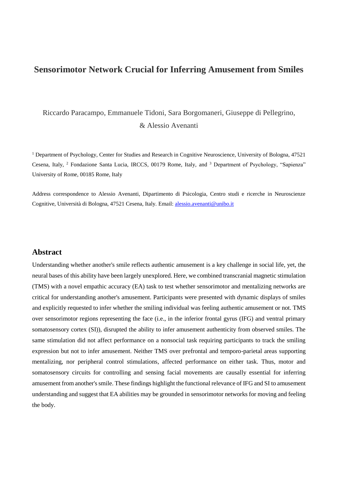# **Sensorimotor Network Crucial for Inferring Amusement from Smiles**

# [Riccardo Paracampo,](javascript:;) [Emmanuele Tidoni,](javascript:;) [Sara Borgomaneri,](javascript:;) [Giuseppe di Pellegrino,](javascript:;) & [Alessio Avenanti](javascript:;)

<sup>1</sup> Department of Psychology, Center for Studies and Research in Cognitive Neuroscience, University of Bologna, 47521 Cesena, Italy, <sup>2</sup> Fondazione Santa Lucia, IRCCS, 00179 Rome, Italy, and <sup>3</sup> Department of Psychology, "Sapienza" University of Rome, 00185 Rome, Italy

Address correspondence to Alessio Avenanti, Dipartimento di Psicologia, Centro studi e ricerche in Neuroscienze Cognitive, Università di Bologna, 47521 Cesena, Italy. Email: [alessio.avenanti@unibo.it](mailto:alessio.avenanti@unibo.it)

# **Abstract**

Understanding whether another's smile reflects authentic amusement is a key challenge in social life, yet, the neural bases of this ability have been largely unexplored. Here, we combined transcranial magnetic stimulation (TMS) with a novel empathic accuracy (EA) task to test whether sensorimotor and mentalizing networks are critical for understanding another's amusement. Participants were presented with dynamic displays of smiles and explicitly requested to infer whether the smiling individual was feeling authentic amusement or not. TMS over sensorimotor regions representing the face (i.e., in the inferior frontal gyrus (IFG) and ventral primary somatosensory cortex (SI)), disrupted the ability to infer amusement authenticity from observed smiles. The same stimulation did not affect performance on a nonsocial task requiring participants to track the smiling expression but not to infer amusement. Neither TMS over prefrontal and temporo-parietal areas supporting mentalizing, nor peripheral control stimulations, affected performance on either task. Thus, motor and somatosensory circuits for controlling and sensing facial movements are causally essential for inferring amusement from another's smile. These findings highlight the functional relevance of IFG and SI to amusement understanding and suggest that EA abilities may be grounded in sensorimotor networks for moving and feeling the body.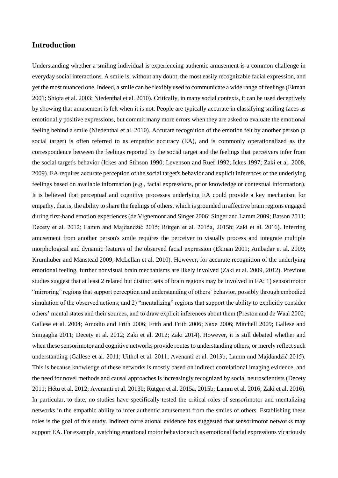# **Introduction**

Understanding whether a smiling individual is experiencing authentic amusement is a common challenge in everyday social interactions. A smile is, without any doubt, the most easily recognizable facial expression, and yet the most nuanced one. Indeed, a smile can be flexibly used to communicate a wide range of feelings (Ekman 2001; Shiota et al. 2003; Niedenthal et al. 2010). Critically, in many social contexts, it can be used deceptively by showing that amusement is felt when it is not. People are typically accurate in classifying smiling faces as emotionally positive expressions, but commit many more errors when they are asked to evaluate the emotional feeling behind a smile (Niedenthal et al. 2010). Accurate recognition of the emotion felt by another person (a social target) is often referred to as empathic accuracy (EA), and is commonly operationalized as the correspondence between the feelings reported by the social target and the feelings that perceivers infer from the social target's behavior (Ickes and Stinson 1990; Levenson and Ruef 1992; Ickes 1997; Zaki et al. 2008, 2009). EA requires accurate perception of the social target's behavior and explicit inferences of the underlying feelings based on available information (e.g., facial expressions, prior knowledge or contextual information). It is believed that perceptual and cognitive processes underlying EA could provide a key mechanism for empathy, that is, the ability to share the feelings of others, which is grounded in affective brain regions engaged during first-hand emotion experiences (de Vignemont and Singer 2006; Singer and Lamm 2009; Batson 2011; Decety et al. 2012; Lamm and Majdandžić 2015; Rütgen et al. 2015a, 2015b; Zaki et al. 2016). Inferring amusement from another person's smile requires the perceiver to visually process and integrate multiple morphological and dynamic features of the observed facial expression (Ekman 2001; Ambadar et al. 2009; Krumhuber and Manstead 2009; McLellan et al. 2010). However, for accurate recognition of the underlying emotional feeling, further nonvisual brain mechanisms are likely involved (Zaki et al. 2009, 2012). Previous studies suggest that at least 2 related but distinct sets of brain regions may be involved in EA: 1) sensorimotor "mirroring" regions that support perception and understanding of others' behavior, possibly through embodied simulation of the observed actions; and 2) "mentalizing" regions that support the ability to explicitly consider others' mental states and their sources, and to draw explicit inferences about them (Preston and de Waal 2002; Gallese et al. 2004; Amodio and Frith 2006; Frith and Frith 2006; Saxe 2006; Mitchell 2009; Gallese and Sinigaglia 2011; Decety et al. 2012; Zaki et al. 2012; Zaki 2014). However, it is still debated whether and when these sensorimotor and cognitive networks provide routes to understanding others, or merely reflect such understanding (Gallese et al. 2011; Uithol et al. 2011; Avenanti et al. 2013b; Lamm and Majdandžić 2015). This is because knowledge of these networks is mostly based on indirect correlational imaging evidence, and the need for novel methods and causal approaches is increasingly recognized by social neuroscientists (Decety 2011; Hétu et al. 2012; Avenanti et al. 2013b; Rütgen et al. 2015a, 2015b; Lamm et al. 2016; Zaki et al. 2016). In particular, to date, no studies have specifically tested the critical roles of sensorimotor and mentalizing networks in the empathic ability to infer authentic amusement from the smiles of others. Establishing these roles is the goal of this study. Indirect correlational evidence has suggested that sensorimotor networks may support EA. For example, watching emotional motor behavior such as emotional facial expressions vicariously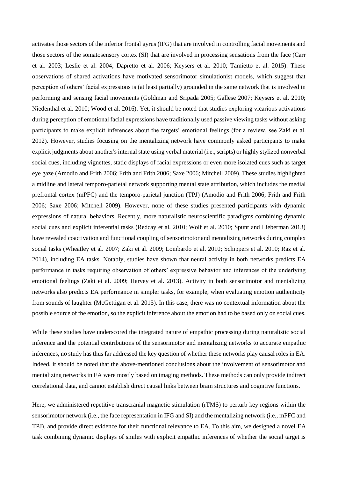activates those sectors of the inferior frontal gyrus (IFG) that are involved in controlling facial movements and those sectors of the somatosensory cortex (SI) that are involved in processing sensations from the face (Carr et al. 2003; Leslie et al. 2004; Dapretto et al. 2006; Keysers et al. 2010; Tamietto et al. 2015). These observations of shared activations have motivated sensorimotor simulationist models, which suggest that perception of others' facial expressions is (at least partially) grounded in the same network that is involved in performing and sensing facial movements (Goldman and Sripada 2005; Gallese 2007; Keysers et al. 2010; Niedenthal et al. 2010; Wood et al. 2016). Yet, it should be noted that studies exploring vicarious activations during perception of emotional facial expressions have traditionally used passive viewing tasks without asking participants to make explicit inferences about the targets' emotional feelings (for a review, see Zaki et al. 2012). However, studies focusing on the mentalizing network have commonly asked participants to make explicit judgments about another's internal state using verbal material (i.e., scripts) or highly stylized nonverbal social cues, including vignettes, static displays of facial expressions or even more isolated cues such as target eye gaze (Amodio and Frith 2006; Frith and Frith 2006; Saxe 2006; Mitchell 2009). These studies highlighted a midline and lateral temporo-parietal network supporting mental state attribution, which includes the medial prefrontal cortex (mPFC) and the temporo-parietal junction (TPJ) (Amodio and Frith 2006; Frith and Frith 2006; Saxe 2006; Mitchell 2009). However, none of these studies presented participants with dynamic expressions of natural behaviors. Recently, more naturalistic neuroscientific paradigms combining dynamic social cues and explicit inferential tasks (Redcay et al. 2010; Wolf et al. 2010; Spunt and Lieberman 2013) have revealed coactivation and functional coupling of sensorimotor and mentalizing networks during complex social tasks (Wheatley et al. 2007; Zaki et al. 2009; Lombardo et al. 2010; Schippers et al. 2010; Raz et al. 2014), including EA tasks. Notably, studies have shown that neural activity in both networks predicts EA performance in tasks requiring observation of others' expressive behavior and inferences of the underlying emotional feelings (Zaki et al. 2009; Harvey et al. 2013). Activity in both sensorimotor and mentalizing networks also predicts EA performance in simpler tasks, for example, when evaluating emotion authenticity from sounds of laughter (McGettigan et al. 2015). In this case, there was no contextual information about the possible source of the emotion, so the explicit inference about the emotion had to be based only on social cues.

While these studies have underscored the integrated nature of empathic processing during naturalistic social inference and the potential contributions of the sensorimotor and mentalizing networks to accurate empathic inferences, no study has thus far addressed the key question of whether these networks play causal roles in EA. Indeed, it should be noted that the above-mentioned conclusions about the involvement of sensorimotor and mentalizing networks in EA were mostly based on imaging methods. These methods can only provide indirect correlational data, and cannot establish direct causal links between brain structures and cognitive functions.

Here, we administered repetitive transcranial magnetic stimulation (rTMS) to perturb key regions within the sensorimotor network (i.e., the face representation in IFG and SI) and the mentalizing network (i.e., mPFC and TPJ), and provide direct evidence for their functional relevance to EA. To this aim, we designed a novel EA task combining dynamic displays of smiles with explicit empathic inferences of whether the social target is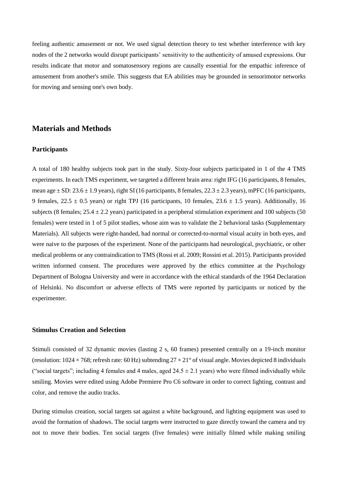feeling authentic amusement or not. We used signal detection theory to test whether interference with key nodes of the 2 networks would disrupt participants' sensitivity to the authenticity of amused expressions. Our results indicate that motor and somatosensory regions are causally essential for the empathic inference of amusement from another's smile. This suggests that EA abilities may be grounded in sensorimotor networks for moving and sensing one's own body.

# **Materials and Methods**

# **Participants**

A total of 180 healthy subjects took part in the study. Sixty-four subjects participated in 1 of the 4 TMS experiments. In each TMS experiment, we targeted a different brain area: right IFG (16 participants, 8 females, mean age  $\pm$  SD: 23.6  $\pm$  1.9 years), right SI (16 participants, 8 females, 22.3  $\pm$  2.3 years), mPFC (16 participants, 9 females,  $22.5 \pm 0.5$  years) or right TPJ (16 participants, 10 females,  $23.6 \pm 1.5$  years). Additionally, 16 subjects (8 females;  $25.4 \pm 2.2$  years) participated in a peripheral stimulation experiment and 100 subjects (50 females) were tested in 1 of 5 pilot studies, whose aim was to validate the 2 behavioral tasks (Supplementary Materials). All subjects were right-handed, had normal or corrected-to-normal visual acuity in both eyes, and were naive to the purposes of the experiment. None of the participants had neurological, psychiatric, or other medical problems or any contraindication to TMS (Rossi et al. 2009; Rossini et al. 2015). Participants provided written informed consent. The procedures were approved by the ethics committee at the Psychology Department of Bologna University and were in accordance with the ethical standards of the 1964 Declaration of Helsinki. No discomfort or adverse effects of TMS were reported by participants or noticed by the experimenter.

## **Stimulus Creation and Selection**

Stimuli consisted of 32 dynamic movies (lasting 2 s, 60 frames) presented centrally on a 19-inch monitor (resolution:  $1024 \times 768$ ; refresh rate: 60 Hz) subtending  $27 \times 21^{\circ}$  of visual angle. Movies depicted 8 individuals ("social targets"; including 4 females and 4 males, aged  $24.5 \pm 2.1$  years) who were filmed individually while smiling. Movies were edited using Adobe Premiere Pro C6 software in order to correct lighting, contrast and color, and remove the audio tracks.

During stimulus creation, social targets sat against a white background, and lighting equipment was used to avoid the formation of shadows. The social targets were instructed to gaze directly toward the camera and try not to move their bodies. Ten social targets (five females) were initially filmed while making smiling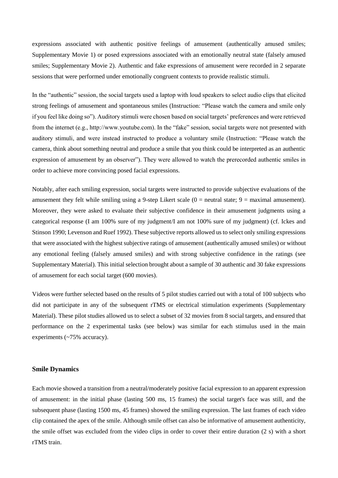expressions associated with authentic positive feelings of amusement (authentically amused smiles; Supplementary Movie 1) or posed expressions associated with an emotionally neutral state (falsely amused smiles; Supplementary Movie 2). Authentic and fake expressions of amusement were recorded in 2 separate sessions that were performed under emotionally congruent contexts to provide realistic stimuli.

In the "authentic" session, the social targets used a laptop with loud speakers to select audio clips that elicited strong feelings of amusement and spontaneous smiles (Instruction: "Please watch the camera and smile only if you feel like doing so"). Auditory stimuli were chosen based on social targets' preferences and were retrieved from the internet (e.g., http://www.youtube.com). In the "fake" session, social targets were not presented with auditory stimuli, and were instead instructed to produce a voluntary smile (Instruction: "Please watch the camera, think about something neutral and produce a smile that you think could be interpreted as an authentic expression of amusement by an observer"). They were allowed to watch the prerecorded authentic smiles in order to achieve more convincing posed facial expressions.

Notably, after each smiling expression, social targets were instructed to provide subjective evaluations of the amusement they felt while smiling using a 9-step Likert scale  $(0 =$  neutral state;  $9 =$  maximal amusement). Moreover, they were asked to evaluate their subjective confidence in their amusement judgments using a categorical response (I am 100% sure of my judgment/I am not 100% sure of my judgment) (cf. Ickes and Stinson 1990; Levenson and Ruef 1992). These subjective reports allowed us to select only smiling expressions that were associated with the highest subjective ratings of amusement (authentically amused smiles) or without any emotional feeling (falsely amused smiles) and with strong subjective confidence in the ratings (see Supplementary Material). This initial selection brought about a sample of 30 authentic and 30 fake expressions of amusement for each social target (600 movies).

Videos were further selected based on the results of 5 pilot studies carried out with a total of 100 subjects who did not participate in any of the subsequent rTMS or electrical stimulation experiments (Supplementary Material). These pilot studies allowed us to select a subset of 32 movies from 8 social targets, and ensured that performance on the 2 experimental tasks (see below) was similar for each stimulus used in the main experiments (~75% accuracy).

## **Smile Dynamics**

Each movie showed a transition from a neutral/moderately positive facial expression to an apparent expression of amusement: in the initial phase (lasting 500 ms, 15 frames) the social target's face was still, and the subsequent phase (lasting 1500 ms, 45 frames) showed the smiling expression. The last frames of each video clip contained the apex of the smile. Although smile offset can also be informative of amusement authenticity, the smile offset was excluded from the video clips in order to cover their entire duration (2 s) with a short rTMS train.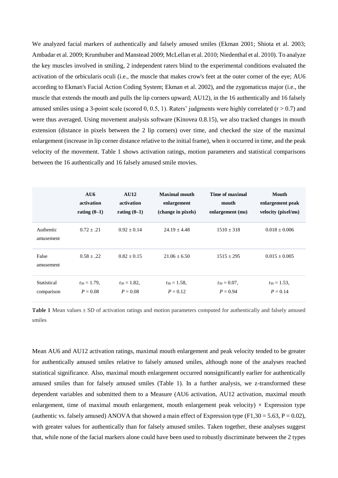We analyzed facial markers of authentically and falsely amused smiles (Ekman 2001; Shiota et al. 2003; Ambadar et al. 2009; Krumhuber and Manstead 2009; McLellan et al. 2010; Niedenthal et al. 2010). To analyze the key muscles involved in smiling, 2 independent raters blind to the experimental conditions evaluated the activation of the orbicularis oculi (i.e., the muscle that makes crow's feet at the outer corner of the eye; AU6 according to Ekman's Facial Action Coding System; Ekman et al. 2002), and the zygomaticus major (i.e., the muscle that extends the mouth and pulls the lip corners upward; AU12), in the 16 authentically and 16 falsely amused smiles using a 3-point scale (scored 0, 0.5, 1). Raters' judgments were highly correlated ( $r > 0.7$ ) and were thus averaged. Using movement analysis software (Kinovea 0.8.15), we also tracked changes in mouth extension (distance in pixels between the 2 lip corners) over time, and checked the size of the maximal enlargement (increase in lip corner distance relative to the initial frame), when it occurred in time, and the peak velocity of the movement. Table 1 shows activation ratings, motion parameters and statistical comparisons between the 16 authentically and 16 falsely amused smile movies.

|                        | AU6               | <b>AU12</b>       | <b>Maximal mouth</b> | Time of maximal   | Mouth               |
|------------------------|-------------------|-------------------|----------------------|-------------------|---------------------|
|                        | activation        | activation        | enlargement          | mouth             | enlargement peak    |
|                        | rating $(0-1)$    | rating $(0-1)$    | (change in pixels)   | enlargement (ms)  | velocity (pixel/ms) |
| Authentic<br>amusement | $0.72 + .21$      | $0.92 + 0.14$     | $24.19 + 4.48$       | $1510 + 318$      | $0.018 \pm 0.006$   |
| False<br>amusement     | $0.58 + .22$      | $0.82 + 0.15$     | $21.06 + 6.50$       | $1515 \pm 295$    | $0.015 \pm 0.005$   |
| Statistical            | $t_{30} = 1.79$ , | $t_{30} = 1.82$ , | $t_{30} = 1.58$ ,    | $t_{30} = 0.07$ , | $t_{30} = 1.53$ ,   |
| comparison             | $P = 0.08$        | $P = 0.08$        | $P = 0.12$           | $P = 0.94$        | $P = 0.14$          |

**Table 1** Mean values ± SD of activation ratings and motion parameters computed for authentically and falsely amused smiles

Mean AU6 and AU12 activation ratings, maximal mouth enlargement and peak velocity tended to be greater for authentically amused smiles relative to falsely amused smiles, although none of the analyses reached statistical significance. Also, maximal mouth enlargement occurred nonsignificantly earlier for authentically amused smiles than for falsely amused smiles (Table 1). In a further analysis, we z-transformed these dependent variables and submitted them to a Measure (AU6 activation, AU12 activation, maximal mouth enlargement, time of maximal mouth enlargement, mouth enlargement peak velocity)  $\times$  Expression type (authentic vs. falsely amused) ANOVA that showed a main effect of Expression type  $(F1,30 = 5.63, P = 0.02)$ , with greater values for authentically than for falsely amused smiles. Taken together, these analyses suggest that, while none of the facial markers alone could have been used to robustly discriminate between the 2 types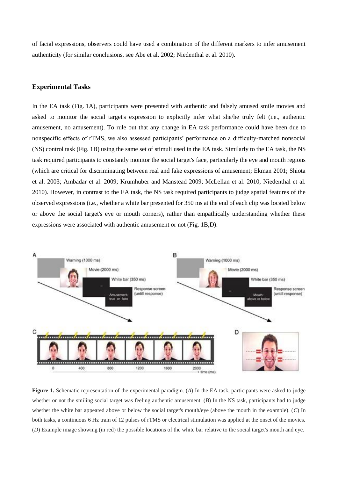of facial expressions, observers could have used a combination of the different markers to infer amusement authenticity (for similar conclusions, see Abe et al. 2002; Niedenthal et al. 2010).

# **Experimental Tasks**

In the EA task (Fig. 1A), participants were presented with authentic and falsely amused smile movies and asked to monitor the social target's expression to explicitly infer what she/he truly felt (i.e., authentic amusement, no amusement). To rule out that any change in EA task performance could have been due to nonspecific effects of rTMS, we also assessed participants' performance on a difficulty-matched nonsocial (NS) control task (Fig. 1B) using the same set of stimuli used in the EA task. Similarly to the EA task, the NS task required participants to constantly monitor the social target's face, particularly the eye and mouth regions (which are critical for discriminating between real and fake expressions of amusement; Ekman 2001; Shiota et al. 2003; Ambadar et al. 2009; Krumhuber and Manstead 2009; McLellan et al. 2010; Niedenthal et al. 2010). However, in contrast to the EA task, the NS task required participants to judge spatial features of the observed expressions (i.e., whether a white bar presented for 350 ms at the end of each clip was located below or above the social target's eye or mouth corners), rather than empathically understanding whether these expressions were associated with authentic amusement or not (Fig. 1B,D).



**Figure 1.** Schematic representation of the experimental paradigm. (*A*) In the EA task, participants were asked to judge whether or not the smiling social target was feeling authentic amusement. (*B*) In the NS task, participants had to judge whether the white bar appeared above or below the social target's mouth/eye (above the mouth in the example). (*C*) In both tasks, a continuous 6 Hz train of 12 pulses of rTMS or electrical stimulation was applied at the onset of the movies. (*D*) Example image showing (in red) the possible locations of the white bar relative to the social target's mouth and eye.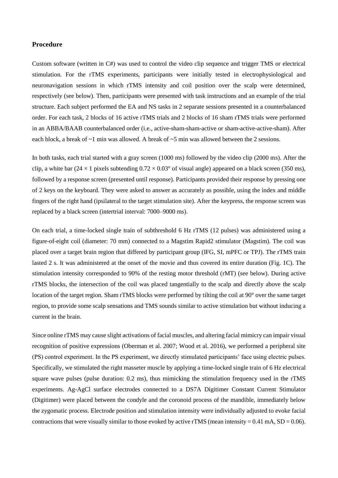# **Procedure**

Custom software (written in C#) was used to control the video clip sequence and trigger TMS or electrical stimulation. For the rTMS experiments, participants were initially tested in electrophysiological and neuronavigation sessions in which rTMS intensity and coil position over the scalp were determined, respectively (see below). Then, participants were presented with task instructions and an example of the trial structure. Each subject performed the EA and NS tasks in 2 separate sessions presented in a counterbalanced order. For each task, 2 blocks of 16 active rTMS trials and 2 blocks of 16 sham rTMS trials were performed in an ABBA/BAAB counterbalanced order (i.e., active-sham-sham-active or sham-active-active-sham). After each block, a break of ~1 min was allowed. A break of ~5 min was allowed between the 2 sessions.

In both tasks, each trial started with a gray screen (1000 ms) followed by the video clip (2000 ms). After the clip, a white bar (24  $\times$  1 pixels subtending  $0.72 \times 0.03^{\circ}$  of visual angle) appeared on a black screen (350 ms), followed by a response screen (presented until response). Participants provided their response by pressing one of 2 keys on the keyboard. They were asked to answer as accurately as possible, using the index and middle fingers of the right hand (ipsilateral to the target stimulation site). After the keypress, the response screen was replaced by a black screen (intertrial interval: 7000–9000 ms).

On each trial, a time-locked single train of subthreshold 6 Hz rTMS (12 pulses) was administered using a figure-of-eight coil (diameter: 70 mm) connected to a Magstim Rapid2 stimulator (Magstim). The coil was placed over a target brain region that differed by participant group (IFG, SI, mPFC or TPJ). The rTMS train lasted 2 s. It was administered at the onset of the movie and thus covered its entire duration (Fig. 1C). The stimulation intensity corresponded to 90% of the resting motor threshold (rMT) (see below). During active rTMS blocks, the intersection of the coil was placed tangentially to the scalp and directly above the scalp location of the target region. Sham rTMS blocks were performed by tilting the coil at 90° over the same target region, to provide some scalp sensations and TMS sounds similar to active stimulation but without inducing a current in the brain.

Since online rTMS may cause slight activations of facial muscles, and altering facial mimicry can impair visual recognition of positive expressions (Oberman et al. 2007; Wood et al. 2016), we performed a peripheral site (PS) control experiment. In the PS experiment, we directly stimulated participants' face using electric pulses. Specifically, we stimulated the right masseter muscle by applying a time-locked single train of 6 Hz electrical square wave pulses (pulse duration: 0.2 ms), thus mimicking the stimulation frequency used in the rTMS experiments. Ag-AgCl surface electrodes connected to a DS7A Digitimer Constant Current Stimulator (Digitimer) were placed between the condyle and the coronoid process of the mandible, immediately below the zygomatic process. Electrode position and stimulation intensity were individually adjusted to evoke facial contractions that were visually similar to those evoked by active rTMS (mean intensity =  $0.41$  mA, SD =  $0.06$ ).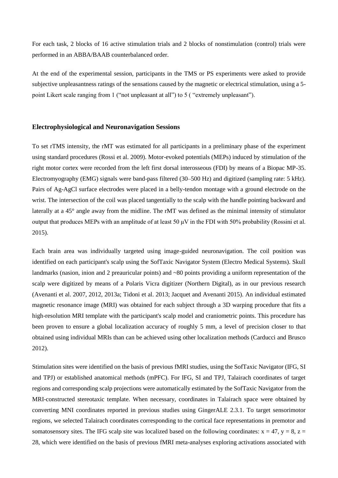For each task, 2 blocks of 16 active stimulation trials and 2 blocks of nonstimulation (control) trials were performed in an ABBA/BAAB counterbalanced order.

At the end of the experimental session, participants in the TMS or PS experiments were asked to provide subjective unpleasantness ratings of the sensations caused by the magnetic or electrical stimulation, using a 5 point Likert scale ranging from 1 ("not unpleasant at all") to 5 ( "extremely unpleasant").

### **Electrophysiological and Neuronavigation Sessions**

To set rTMS intensity, the rMT was estimated for all participants in a preliminary phase of the experiment using standard procedures (Rossi et al. 2009). Motor-evoked potentials (MEPs) induced by stimulation of the right motor cortex were recorded from the left first dorsal interosseous (FDI) by means of a Biopac MP-35. Electromyography (EMG) signals were band-pass filtered (30–500 Hz) and digitized (sampling rate: 5 kHz). Pairs of Ag-AgCl surface electrodes were placed in a belly-tendon montage with a ground electrode on the wrist. The intersection of the coil was placed tangentially to the scalp with the handle pointing backward and laterally at a 45° angle away from the midline. The rMT was defined as the minimal intensity of stimulator output that produces MEPs with an amplitude of at least 50 μV in the FDI with 50% probability (Rossini et al. 2015).

Each brain area was individually targeted using image-guided neuronavigation. The coil position was identified on each participant's scalp using the SofTaxic Navigator System (Electro Medical Systems). Skull landmarks (nasion, inion and 2 preauricular points) and ~80 points providing a uniform representation of the scalp were digitized by means of a Polaris Vicra digitizer (Northern Digital), as in our previous research (Avenanti et al. 2007, 2012, 2013a; Tidoni et al. 2013; Jacquet and Avenanti 2015). An individual estimated magnetic resonance image (MRI) was obtained for each subject through a 3D warping procedure that fits a high-resolution MRI template with the participant's scalp model and craniometric points. This procedure has been proven to ensure a global localization accuracy of roughly 5 mm, a level of precision closer to that obtained using individual MRIs than can be achieved using other localization methods (Carducci and Brusco 2012).

Stimulation sites were identified on the basis of previous fMRI studies, using the SofTaxic Navigator (IFG, SI and TPJ) or established anatomical methods (mPFC). For IFG, SI and TPJ, Talairach coordinates of target regions and corresponding scalp projections were automatically estimated by the SofTaxic Navigator from the MRI-constructed stereotaxic template. When necessary, coordinates in Talairach space were obtained by converting MNI coordinates reported in previous studies using GingerALE 2.3.1. To target sensorimotor regions, we selected Talairach coordinates corresponding to the cortical face representations in premotor and somatosensory sites. The IFG scalp site was localized based on the following coordinates:  $x = 47$ ,  $y = 8$ ,  $z =$ 28, which were identified on the basis of previous fMRI meta-analyses exploring activations associated with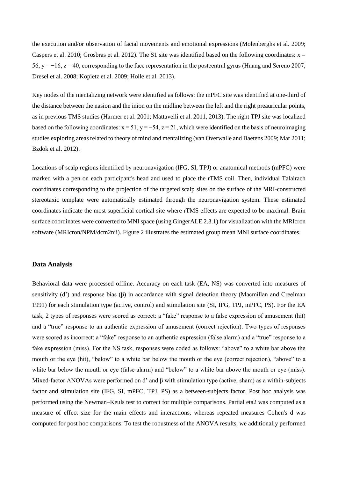the execution and/or observation of facial movements and emotional expressions (Molenberghs et al. 2009; Caspers et al. 2010; Grosbras et al. 2012). The S1 site was identified based on the following coordinates:  $x =$ 56, y =  $-16$ , z = 40, corresponding to the face representation in the postcentral gyrus (Huang and Sereno 2007; Dresel et al. 2008; Kopietz et al. 2009; Holle et al. 2013).

Key nodes of the mentalizing network were identified as follows: the mPFC site was identified at one-third of the distance between the nasion and the inion on the midline between the left and the right preauricular points, as in previous TMS studies (Harmer et al. 2001; Mattavelli et al. 2011, 2013). The right TPJ site was localized based on the following coordinates:  $x = 51$ ,  $y = -54$ ,  $z = 21$ , which were identified on the basis of neuroimaging studies exploring areas related to theory of mind and mentalizing (van Overwalle and Baetens 2009; Mar 2011; Bzdok et al. 2012).

Locations of scalp regions identified by neuronavigation (IFG, SI, TPJ) or anatomical methods (mPFC) were marked with a pen on each participant's head and used to place the rTMS coil. Then, individual Talairach coordinates corresponding to the projection of the targeted scalp sites on the surface of the MRI-constructed stereotaxic template were automatically estimated through the neuronavigation system. These estimated coordinates indicate the most superficial cortical site where rTMS effects are expected to be maximal. Brain surface coordinates were converted to MNI space (using GingerALE 2.3.1) for visualization with the MRIcron software (MRIcron/NPM/dcm2nii). Figure 2 illustrates the estimated group mean MNI surface coordinates.

### **Data Analysis**

Behavioral data were processed offline. Accuracy on each task (EA, NS) was converted into measures of sensitivity (d') and response bias (β) in accordance with signal detection theory (Macmillan and Creelman 1991) for each stimulation type (active, control) and stimulation site (SI, IFG, TPJ, mPFC, PS). For the EA task, 2 types of responses were scored as correct: a "fake" response to a false expression of amusement (hit) and a "true" response to an authentic expression of amusement (correct rejection). Two types of responses were scored as incorrect: a "fake" response to an authentic expression (false alarm) and a "true" response to a fake expression (miss). For the NS task, responses were coded as follows: "above" to a white bar above the mouth or the eye (hit), "below" to a white bar below the mouth or the eye (correct rejection), "above" to a white bar below the mouth or eye (false alarm) and "below" to a white bar above the mouth or eye (miss). Mixed-factor ANOVAs were performed on d' and β with stimulation type (active, sham) as a within-subjects factor and stimulation site (IFG, SI, mPFC, TPJ, PS) as a between-subjects factor. Post hoc analysis was performed using the Newman–Keuls test to correct for multiple comparisons. Partial eta2 was computed as a measure of effect size for the main effects and interactions, whereas repeated measures Cohen's d was computed for post hoc comparisons. To test the robustness of the ANOVA results, we additionally performed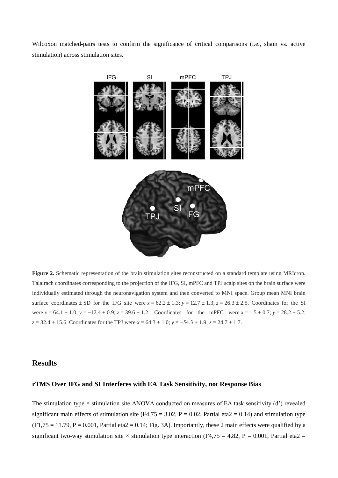Wilcoxon matched-pairs tests to confirm the significance of critical comparisons (i.e., sham vs. active stimulation) across stimulation sites.



**Figure 2.** Schematic representation of the brain stimulation sites reconstructed on a standard template using MRIcron. Talairach coordinates corresponding to the projection of the IFG, SI, mPFC and TPJ scalp sites on the brain surface were individually estimated through the neuronavigation system and then converted to MNI space. Group mean MNI brain surface coordinates  $\pm$  SD for the IFG site were  $x = 62.2 \pm 1.3$ ;  $y = 12.7 \pm 1.3$ ;  $z = 26.3 \pm 2.5$ . Coordinates for the SI were  $x = 64.1 \pm 1.0$ ;  $y = -12.4 \pm 0.9$ ;  $z = 39.6 \pm 1.2$ . Coordinates for the mPFC were  $x = 1.5 \pm 0.7$ ;  $y = 28.2 \pm 5.2$ ; *z* = 32.4 ± 15.6. Coordinates for the TPJ were *x* = 64.3 ± 1.0; *y* = −54.3 ± 1.9; *z* = 24.7 ± 1.7.

# **Results**

# **rTMS Over IFG and SI Interferes with EA Task Sensitivity, not Response Bias**

The stimulation type  $\times$  stimulation site ANOVA conducted on measures of EA task sensitivity (d') revealed significant main effects of stimulation site (F4.75 = 3.02, P = 0.02, Partial eta2 = 0.14) and stimulation type  $(F1,75 = 11.79, P = 0.001,$  Partial eta $2 = 0.14$ ; Fig. 3A). Importantly, these 2 main effects were qualified by a significant two-way stimulation site  $\times$  stimulation type interaction (F4,75 = 4.82, P = 0.001, Partial eta2 =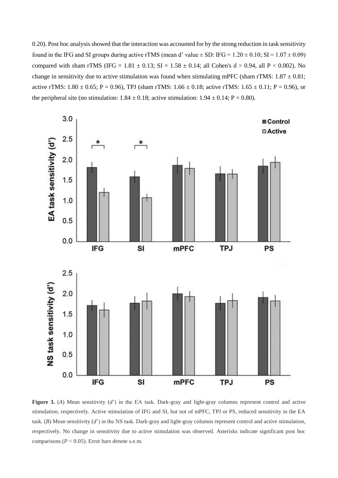0.20). Post hoc analysis showed that the interaction was accounted for by the strong reduction in task sensitivity found in the IFG and SI groups during active rTMS (mean d' value  $\pm$  SD: IFG = 1.20  $\pm$  0.10; SI = 1.07  $\pm$  0.09) compared with sham rTMS (IFG =  $1.81 \pm 0.13$ ; SI =  $1.58 \pm 0.14$ ; all Cohen's d > 0.94, all P < 0.002). No change in sensitivity due to active stimulation was found when stimulating mPFC (sham rTMS:  $1.87 \pm 0.81$ ; active rTMS:  $1.80 \pm 0.65$ ; P = 0.96), TPJ (sham rTMS:  $1.66 \pm 0.18$ ; active rTMS:  $1.65 \pm 0.11$ ; P = 0.96), or the peripheral site (no stimulation:  $1.84 \pm 0.18$ ; active stimulation:  $1.94 \pm 0.14$ ; P = 0.80).



**Figure 3.** (*A*) Mean sensitivity (*d*') in the EA task. Dark-gray and light-gray columns represent control and active stimulation, respectively. Active stimulation of IFG and SI, but not of mPFC, TPJ or PS, reduced sensitivity in the EA task. (*B*) Mean sensitivity (*d*') in the NS task. Dark-gray and light-gray columns represent control and active stimulation, respectively. No change in sensitivity due to active stimulation was observed. Asterisks indicate significant post hoc comparisons ( $P < 0.05$ ). Error bars denote s.e.m.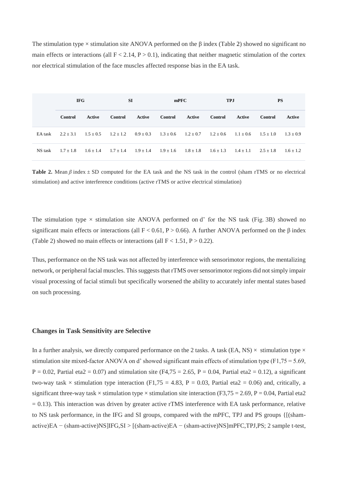The stimulation type  $\times$  stimulation site ANOVA performed on the  $\beta$  index (Table 2) showed no significant no main effects or interactions (all  $F < 2.14$ ,  $P > 0.1$ ), indicating that neither magnetic stimulation of the cortex nor electrical stimulation of the face muscles affected response bias in the EA task.

|         | <b>IFG</b>     |             | <b>SI</b>     |               | mPFC                                                                  |               | <b>TPJ</b>                  |        | <b>PS</b>   |             |
|---------|----------------|-------------|---------------|---------------|-----------------------------------------------------------------------|---------------|-----------------------------|--------|-------------|-------------|
|         | <b>Control</b> | Active      | Control       | Active        | Control                                                               | Active        | Control                     | Active | Control     | Active      |
| EA task | $2.2 + 3.1$    | $1.5 + 0.5$ | $1.2 + 1.2$   | $0.9 \pm 0.3$ | $1.3 \pm 0.6$ $1.2 \pm 0.7$ $1.2 \pm 0.6$ $1.1 \pm 0.6$ $1.5 \pm 1.0$ |               |                             |        |             | $1.3 + 0.9$ |
| NS task | $1.7 + 1.8$    | $1.6 + 1.4$ | $1.7 \pm 1.4$ | $1.9 \pm 1.4$ | $1.9 \pm 1.6$                                                         | $1.8 \pm 1.8$ | $1.6 \pm 1.3$ $1.4 \pm 1.1$ |        | $2.5 + 1.8$ | $1.6 + 1.2$ |

**Table 2.** Mean *β* index ± SD computed for the EA task and the NS task in the control (sham rTMS or no electrical stimulation) and active interference conditions (active rTMS or active electrical stimulation)

The stimulation type  $\times$  stimulation site ANOVA performed on d' for the NS task (Fig. 3B) showed no significant main effects or interactions (all  $F < 0.61$ , P  $> 0.66$ ). A further ANOVA performed on the  $\beta$  index (Table 2) showed no main effects or interactions (all  $F < 1.51$ ,  $P > 0.22$ ).

Thus, performance on the NS task was not affected by interference with sensorimotor regions, the mentalizing network, or peripheral facial muscles. This suggests that rTMS over sensorimotor regions did not simply impair visual processing of facial stimuli but specifically worsened the ability to accurately infer mental states based on such processing.

#### **Changes in Task Sensitivity are Selective**

In a further analysis, we directly compared performance on the 2 tasks. A task (EA, NS)  $\times$  stimulation type  $\times$ stimulation site mixed-factor ANOVA on d' showed significant main effects of stimulation type (F1,75 = 5.69,  $P = 0.02$ , Partial eta2 = 0.07) and stimulation site (F4,75 = 2.65, P = 0.04, Partial eta2 = 0.12), a significant two-way task  $\times$  stimulation type interaction (F1,75 = 4.83, P = 0.03, Partial eta2 = 0.06) and, critically, a significant three-way task  $\times$  stimulation type  $\times$  stimulation site interaction (F3,75 = 2.69, P = 0.04, Partial eta2  $= 0.13$ ). This interaction was driven by greater active rTMS interference with EA task performance, relative to NS task performance, in the IFG and SI groups, compared with the mPFC, TPJ and PS groups {[(shamactive)EA − (sham-active)NS]IFG,SI > [(sham-active)EA − (sham-active)NS]mPFC,TPJ,PS; 2 sample t-test,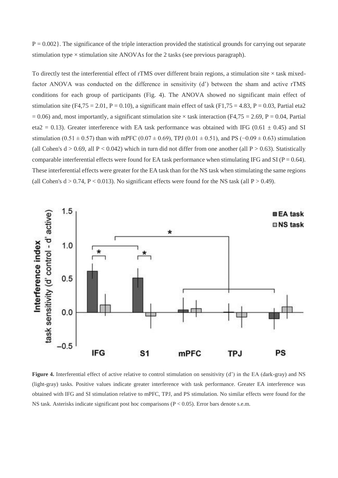$P = 0.002$ . The significance of the triple interaction provided the statistical grounds for carrying out separate stimulation type  $\times$  stimulation site ANOVAs for the 2 tasks (see previous paragraph).

To directly test the interferential effect of rTMS over different brain regions, a stimulation site  $\times$  task mixedfactor ANOVA was conducted on the difference in sensitivity (d') between the sham and active rTMS conditions for each group of participants (Fig. 4). The ANOVA showed no significant main effect of stimulation site (F4,75 = 2.01, P = 0.10), a significant main effect of task (F1,75 = 4.83, P = 0.03, Partial eta2  $= 0.06$ ) and, most importantly, a significant stimulation site  $\times$  task interaction (F4,75 = 2.69, P = 0.04, Partial eta2 = 0.13). Greater interference with EA task performance was obtained with IFG (0.61  $\pm$  0.45) and SI stimulation (0.51  $\pm$  0.57) than with mPFC (0.07  $\pm$  0.69), TPJ (0.01  $\pm$  0.51), and PS (-0.09  $\pm$  0.63) stimulation (all Cohen's  $d > 0.69$ , all  $P < 0.042$ ) which in turn did not differ from one another (all  $P > 0.63$ ). Statistically comparable interferential effects were found for EA task performance when stimulating IFG and SI ( $P = 0.64$ ). These interferential effects were greater for the EA task than for the NS task when stimulating the same regions (all Cohen's  $d > 0.74$ ,  $P < 0.013$ ). No significant effects were found for the NS task (all  $P > 0.49$ ).



**Figure 4.** Interferential effect of active relative to control stimulation on sensitivity (d') in the EA (dark-gray) and NS (light-gray) tasks. Positive values indicate greater interference with task performance. Greater EA interference was obtained with IFG and SI stimulation relative to mPFC, TPJ, and PS stimulation. No similar effects were found for the NS task. Asterisks indicate significant post hoc comparisons (P < 0.05). Error bars denote s.e.m.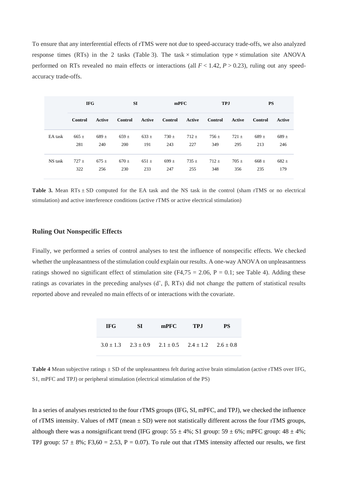To ensure that any interferential effects of rTMS were not due to speed-accuracy trade-offs, we also analyzed response times (RTs) in the 2 tasks (Table 3). The task  $\times$  stimulation type  $\times$  stimulation site ANOVA performed on RTs revealed no main effects or interactions (all  $F < 1.42$ ,  $P > 0.23$ ), ruling out any speedaccuracy trade-offs.

|         | <b>IFG</b> |           | <b>SI</b> |           | mPFC      |           | <b>TPJ</b>     |           | <b>PS</b> |           |
|---------|------------|-----------|-----------|-----------|-----------|-----------|----------------|-----------|-----------|-----------|
|         | Control    | Active    | Control   | Active    | Control   | Active    | <b>Control</b> | Active    | Control   | Active    |
| EA task | $665 \pm$  | $689 +$   | $659 \pm$ | $633 \pm$ | $730 \pm$ | $712 \pm$ | $756 \pm$      | $721 \pm$ | $689 \pm$ | $689 +$   |
|         | 281        | 240       | 200       | 191       | 243       | 227       | 349            | 295       | 213       | 246       |
| NS task | $727 +$    | $675 \pm$ | $670 \pm$ | $651 \pm$ | $699 \pm$ | $735 \pm$ | $712 \pm$      | $705 \pm$ | $668 \pm$ | $682 \pm$ |
|         | 322        | 256       | 230       | 233       | 247       | 255       | 348            | 356       | 235       | 179       |

**Table 3.** Mean  $RTs \pm SD$  computed for the EA task and the NS task in the control (sham rTMS or no electrical stimulation) and active interference conditions (active rTMS or active electrical stimulation)

# **Ruling Out Nonspecific Effects**

Finally, we performed a series of control analyses to test the influence of nonspecific effects. We checked whether the unpleasantness of the stimulation could explain our results. A one-way ANOVA on unpleasantness ratings showed no significant effect of stimulation site (F4,75 = 2.06, P = 0.1; see Table 4). Adding these ratings as covariates in the preceding analyses (d', β, RTs) did not change the pattern of statistical results reported above and revealed no main effects of or interactions with the covariate.

| <b>IFG</b> | <b>SI</b> | mPFC TPJ                                                              | <b>PS</b> |
|------------|-----------|-----------------------------------------------------------------------|-----------|
|            |           | $3.0 \pm 1.3$ $2.3 \pm 0.9$ $2.1 \pm 0.5$ $2.4 \pm 1.2$ $2.6 \pm 0.8$ |           |

**Table 4** Mean subjective ratings  $\pm$  SD of the unpleasantness felt during active brain stimulation (active rTMS over IFG, S1, mPFC and TPJ) or peripheral stimulation (electrical stimulation of the PS)

In a series of analyses restricted to the four rTMS groups (IFG, SI, mPFC, and TPJ), we checked the influence of rTMS intensity. Values of rMT (mean  $\pm$  SD) were not statistically different across the four rTMS groups, although there was a nonsignificant trend (IFG group: 55  $\pm$  4%; S1 group: 59  $\pm$  6%; mPFC group: 48  $\pm$  4%; TPJ group:  $57 \pm 8\%$ ; F3,60 = 2.53, P = 0.07). To rule out that rTMS intensity affected our results, we first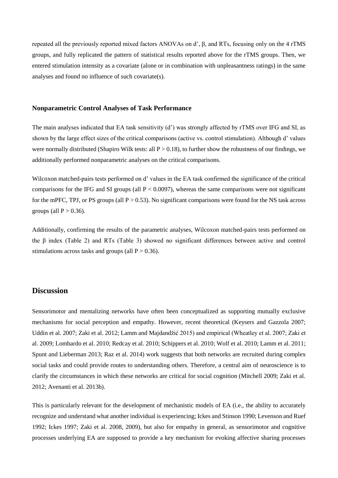repeated all the previously reported mixed factors ANOVAs on d', β, and RTs, focusing only on the 4 rTMS groups, and fully replicated the pattern of statistical results reported above for the rTMS groups. Then, we entered stimulation intensity as a covariate (alone or in combination with unpleasantness ratings) in the same analyses and found no influence of such covariate(s).

#### **Nonparametric Control Analyses of Task Performance**

The main analyses indicated that EA task sensitivity (d') was strongly affected by rTMS over IFG and SI, as shown by the large effect sizes of the critical comparisons (active vs. control stimulation). Although d' values were normally distributed (Shapiro Wilk tests: all  $P > 0.18$ ), to further show the robustness of our findings, we additionally performed nonparametric analyses on the critical comparisons.

Wilcoxon matched-pairs tests performed on d' values in the EA task confirmed the significance of the critical comparisons for the IFG and SI groups (all  $P < 0.0097$ ), whereas the same comparisons were not significant for the mPFC, TPJ, or PS groups (all  $P > 0.53$ ). No significant comparisons were found for the NS task across groups (all  $P > 0.36$ ).

Additionally, confirming the results of the parametric analyses, Wilcoxon matched-pairs tests performed on the β index (Table 2) and RTs (Table 3) showed no significant differences between active and control stimulations across tasks and groups (all  $P > 0.36$ ).

# **Discussion**

Sensorimotor and mentalizing networks have often been conceptualized as supporting mutually exclusive mechanisms for social perception and empathy. However, recent theoretical (Keysers and Gazzola 2007; Uddin et al. 2007; Zaki et al. 2012; Lamm and Majdandžić 2015) and empirical (Wheatley et al. 2007; Zaki et al. 2009; Lombardo et al. 2010; Redcay et al. 2010; Schippers et al. 2010; Wolf et al. 2010; Lamm et al. 2011; Spunt and Lieberman 2013; Raz et al. 2014) work suggests that both networks are recruited during complex social tasks and could provide routes to understanding others. Therefore, a central aim of neuroscience is to clarify the circumstances in which these networks are critical for social cognition (Mitchell 2009; Zaki et al. 2012; Avenanti et al. 2013b).

This is particularly relevant for the development of mechanistic models of EA (i.e., the ability to accurately recognize and understand what another individual is experiencing; Ickes and Stinson 1990; Levenson and Ruef 1992; Ickes 1997; Zaki et al. 2008, 2009), but also for empathy in general, as sensorimotor and cognitive processes underlying EA are supposed to provide a key mechanism for evoking affective sharing processes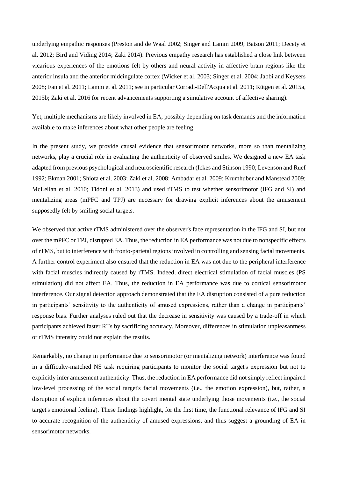underlying empathic responses (Preston and de Waal 2002; Singer and Lamm 2009; Batson 2011; Decety et al. 2012; Bird and Viding 2014; Zaki 2014). Previous empathy research has established a close link between vicarious experiences of the emotions felt by others and neural activity in affective brain regions like the anterior insula and the anterior midcingulate cortex (Wicker et al. 2003; Singer et al. 2004; Jabbi and Keysers 2008; Fan et al. 2011; Lamm et al. 2011; see in particular Corradi-Dell'Acqua et al. 2011; Rütgen et al. 2015a, 2015b; Zaki et al. 2016 for recent advancements supporting a simulative account of affective sharing).

Yet, multiple mechanisms are likely involved in EA, possibly depending on task demands and the information available to make inferences about what other people are feeling.

In the present study, we provide causal evidence that sensorimotor networks, more so than mentalizing networks, play a crucial role in evaluating the authenticity of observed smiles. We designed a new EA task adapted from previous psychological and neuroscientific research (Ickes and Stinson 1990; Levenson and Ruef 1992; Ekman 2001; Shiota et al. 2003; Zaki et al. 2008; Ambadar et al. 2009; Krumhuber and Manstead 2009; McLellan et al. 2010; Tidoni et al. 2013) and used rTMS to test whether sensorimotor (IFG and SI) and mentalizing areas (mPFC and TPJ) are necessary for drawing explicit inferences about the amusement supposedly felt by smiling social targets.

We observed that active rTMS administered over the observer's face representation in the IFG and SI, but not over the mPFC or TPJ, disrupted EA. Thus, the reduction in EA performance was not due to nonspecific effects of rTMS, but to interference with fronto-parietal regions involved in controlling and sensing facial movements. A further control experiment also ensured that the reduction in EA was not due to the peripheral interference with facial muscles indirectly caused by rTMS. Indeed, direct electrical stimulation of facial muscles (PS stimulation) did not affect EA. Thus, the reduction in EA performance was due to cortical sensorimotor interference. Our signal detection approach demonstrated that the EA disruption consisted of a pure reduction in participants' sensitivity to the authenticity of amused expressions, rather than a change in participants' response bias. Further analyses ruled out that the decrease in sensitivity was caused by a trade-off in which participants achieved faster RTs by sacrificing accuracy. Moreover, differences in stimulation unpleasantness or rTMS intensity could not explain the results.

Remarkably, no change in performance due to sensorimotor (or mentalizing network) interference was found in a difficulty-matched NS task requiring participants to monitor the social target's expression but not to explicitly infer amusement authenticity. Thus, the reduction in EA performance did not simply reflect impaired low-level processing of the social target's facial movements (i.e., the emotion expression), but, rather, a disruption of explicit inferences about the covert mental state underlying those movements (i.e., the social target's emotional feeling). These findings highlight, for the first time, the functional relevance of IFG and SI to accurate recognition of the authenticity of amused expressions, and thus suggest a grounding of EA in sensorimotor networks.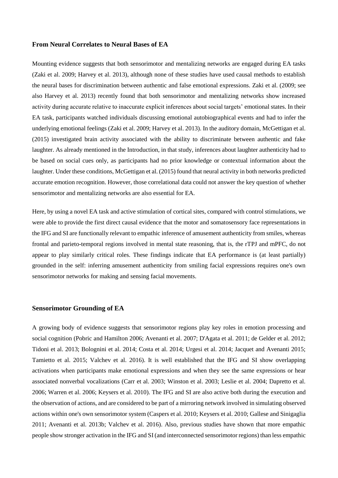# **From Neural Correlates to Neural Bases of EA**

Mounting evidence suggests that both sensorimotor and mentalizing networks are engaged during EA tasks (Zaki et al. 2009; Harvey et al. 2013), although none of these studies have used causal methods to establish the neural bases for discrimination between authentic and false emotional expressions. Zaki et al. (2009; see also Harvey et al. 2013) recently found that both sensorimotor and mentalizing networks show increased activity during accurate relative to inaccurate explicit inferences about social targets' emotional states. In their EA task, participants watched individuals discussing emotional autobiographical events and had to infer the underlying emotional feelings (Zaki et al. 2009; Harvey et al. 2013). In the auditory domain, McGettigan et al. (2015) investigated brain activity associated with the ability to discriminate between authentic and fake laughter. As already mentioned in the Introduction, in that study, inferences about laughter authenticity had to be based on social cues only, as participants had no prior knowledge or contextual information about the laughter. Under these conditions, McGettigan et al. (2015) found that neural activity in both networks predicted accurate emotion recognition. However, those correlational data could not answer the key question of whether sensorimotor and mentalizing networks are also essential for EA.

Here, by using a novel EA task and active stimulation of cortical sites, compared with control stimulations, we were able to provide the first direct causal evidence that the motor and somatosensory face representations in the IFG and SI are functionally relevant to empathic inference of amusement authenticity from smiles, whereas frontal and parieto-temporal regions involved in mental state reasoning, that is, the rTPJ and mPFC, do not appear to play similarly critical roles. These findings indicate that EA performance is (at least partially) grounded in the self: inferring amusement authenticity from smiling facial expressions requires one's own sensorimotor networks for making and sensing facial movements.

### **Sensorimotor Grounding of EA**

A growing body of evidence suggests that sensorimotor regions play key roles in emotion processing and social cognition (Pobric and Hamilton 2006; Avenanti et al. 2007; D'Agata et al. 2011; de Gelder et al. 2012; Tidoni et al. 2013; Bolognini et al. 2014; Costa et al. 2014; Urgesi et al. 2014; Jacquet and Avenanti 2015; Tamietto et al. 2015; Valchev et al. 2016). It is well established that the IFG and SI show overlapping activations when participants make emotional expressions and when they see the same expressions or hear associated nonverbal vocalizations (Carr et al. 2003; Winston et al. 2003; Leslie et al. 2004; Dapretto et al. 2006; Warren et al. 2006; Keysers et al. 2010). The IFG and SI are also active both during the execution and the observation of actions, and are considered to be part of a mirroring network involved in simulating observed actions within one's own sensorimotor system (Caspers et al. 2010; Keysers et al. 2010; Gallese and Sinigaglia 2011; Avenanti et al. 2013b; Valchev et al. 2016). Also, previous studies have shown that more empathic people show stronger activation in the IFG and SI (and interconnected sensorimotor regions) than less empathic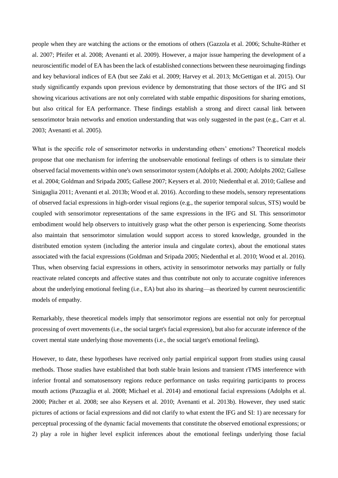people when they are watching the actions or the emotions of others (Gazzola et al. 2006; Schulte-Rüther et al. 2007; Pfeifer et al. 2008; Avenanti et al. 2009). However, a major issue hampering the development of a neuroscientific model of EA has been the lack of established connections between these neuroimaging findings and key behavioral indices of EA (but see Zaki et al. 2009; Harvey et al. 2013; McGettigan et al. 2015). Our study significantly expands upon previous evidence by demonstrating that those sectors of the IFG and SI showing vicarious activations are not only correlated with stable empathic dispositions for sharing emotions, but also critical for EA performance. These findings establish a strong and direct causal link between sensorimotor brain networks and emotion understanding that was only suggested in the past (e.g., Carr et al. 2003; Avenanti et al. 2005).

What is the specific role of sensorimotor networks in understanding others' emotions? Theoretical models propose that one mechanism for inferring the unobservable emotional feelings of others is to simulate their observed facial movements within one's own sensorimotor system (Adolphs et al. 2000; Adolphs 2002; Gallese et al. 2004; Goldman and Sripada 2005; Gallese 2007; Keysers et al. 2010; Niedenthal et al. 2010; Gallese and Sinigaglia 2011; Avenanti et al. 2013b; Wood et al. 2016). According to these models, sensory representations of observed facial expressions in high-order visual regions (e.g., the superior temporal sulcus, STS) would be coupled with sensorimotor representations of the same expressions in the IFG and SI. This sensorimotor embodiment would help observers to intuitively grasp what the other person is experiencing. Some theorists also maintain that sensorimotor simulation would support access to stored knowledge, grounded in the distributed emotion system (including the anterior insula and cingulate cortex), about the emotional states associated with the facial expressions (Goldman and Sripada 2005; Niedenthal et al. 2010; Wood et al. 2016). Thus, when observing facial expressions in others, activity in sensorimotor networks may partially or fully reactivate related concepts and affective states and thus contribute not only to accurate cognitive inferences about the underlying emotional feeling (i.e., EA) but also its sharing—as theorized by current neuroscientific models of empathy.

Remarkably, these theoretical models imply that sensorimotor regions are essential not only for perceptual processing of overt movements (i.e., the social target's facial expression), but also for accurate inference of the covert mental state underlying those movements (i.e., the social target's emotional feeling).

However, to date, these hypotheses have received only partial empirical support from studies using causal methods. Those studies have established that both stable brain lesions and transient rTMS interference with inferior frontal and somatosensory regions reduce performance on tasks requiring participants to process mouth actions (Pazzaglia et al. 2008; Michael et al. 2014) and emotional facial expressions (Adolphs et al. 2000; Pitcher et al. 2008; see also Keysers et al. 2010; Avenanti et al. 2013b). However, they used static pictures of actions or facial expressions and did not clarify to what extent the IFG and SI: 1) are necessary for perceptual processing of the dynamic facial movements that constitute the observed emotional expressions; or 2) play a role in higher level explicit inferences about the emotional feelings underlying those facial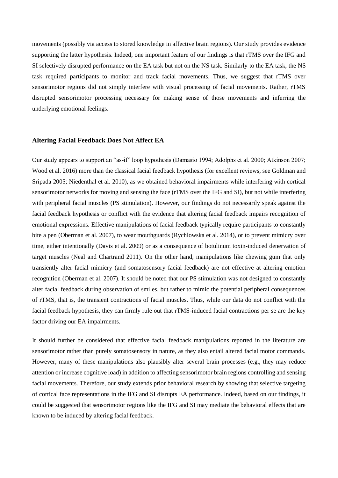movements (possibly via access to stored knowledge in affective brain regions). Our study provides evidence supporting the latter hypothesis. Indeed, one important feature of our findings is that rTMS over the IFG and SI selectively disrupted performance on the EA task but not on the NS task. Similarly to the EA task, the NS task required participants to monitor and track facial movements. Thus, we suggest that rTMS over sensorimotor regions did not simply interfere with visual processing of facial movements. Rather, rTMS disrupted sensorimotor processing necessary for making sense of those movements and inferring the underlying emotional feelings.

### **Altering Facial Feedback Does Not Affect EA**

Our study appears to support an "as-if" loop hypothesis (Damasio 1994; Adolphs et al. 2000; Atkinson 2007; Wood et al. 2016) more than the classical facial feedback hypothesis (for excellent reviews, see Goldman and Sripada 2005; Niedenthal et al. 2010), as we obtained behavioral impairments while interfering with cortical sensorimotor networks for moving and sensing the face (rTMS over the IFG and SI), but not while interfering with peripheral facial muscles (PS stimulation). However, our findings do not necessarily speak against the facial feedback hypothesis or conflict with the evidence that altering facial feedback impairs recognition of emotional expressions. Effective manipulations of facial feedback typically require participants to constantly bite a pen (Oberman et al. 2007), to wear mouthguards (Rychlowska et al. 2014), or to prevent mimicry over time, either intentionally (Davis et al. 2009) or as a consequence of botulinum toxin-induced denervation of target muscles (Neal and Chartrand 2011). On the other hand, manipulations like chewing gum that only transiently alter facial mimicry (and somatosensory facial feedback) are not effective at altering emotion recognition (Oberman et al. 2007). It should be noted that our PS stimulation was not designed to constantly alter facial feedback during observation of smiles, but rather to mimic the potential peripheral consequences of rTMS, that is, the transient contractions of facial muscles. Thus, while our data do not conflict with the facial feedback hypothesis, they can firmly rule out that rTMS-induced facial contractions per se are the key factor driving our EA impairments.

It should further be considered that effective facial feedback manipulations reported in the literature are sensorimotor rather than purely somatosensory in nature, as they also entail altered facial motor commands. However, many of these manipulations also plausibly alter several brain processes (e.g., they may reduce attention or increase cognitive load) in addition to affecting sensorimotor brain regions controlling and sensing facial movements. Therefore, our study extends prior behavioral research by showing that selective targeting of cortical face representations in the IFG and SI disrupts EA performance. Indeed, based on our findings, it could be suggested that sensorimotor regions like the IFG and SI may mediate the behavioral effects that are known to be induced by altering facial feedback.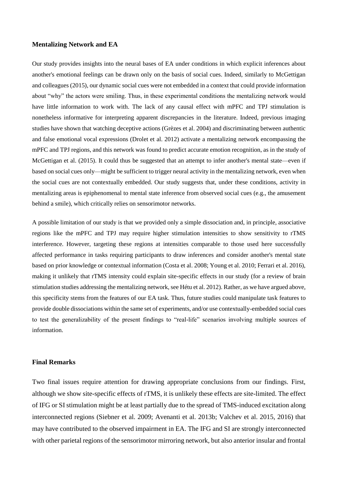# **Mentalizing Network and EA**

Our study provides insights into the neural bases of EA under conditions in which explicit inferences about another's emotional feelings can be drawn only on the basis of social cues. Indeed, similarly to McGettigan and colleagues (2015), our dynamic social cues were not embedded in a context that could provide information about "why" the actors were smiling. Thus, in these experimental conditions the mentalizing network would have little information to work with. The lack of any causal effect with mPFC and TPJ stimulation is nonetheless informative for interpreting apparent discrepancies in the literature. Indeed, previous imaging studies have shown that watching deceptive actions (Grèzes et al. 2004) and discriminating between authentic and false emotional vocal expressions (Drolet et al. 2012) activate a mentalizing network encompassing the mPFC and TPJ regions, and this network was found to predict accurate emotion recognition, as in the study of McGettigan et al. (2015). It could thus be suggested that an attempt to infer another's mental state—even if based on social cues only—might be sufficient to trigger neural activity in the mentalizing network, even when the social cues are not contextually embedded. Our study suggests that, under these conditions, activity in mentalizing areas is epiphenomenal to mental state inference from observed social cues (e.g., the amusement behind a smile), which critically relies on sensorimotor networks.

A possible limitation of our study is that we provided only a simple dissociation and, in principle, associative regions like the mPFC and TPJ may require higher stimulation intensities to show sensitivity to rTMS interference. However, targeting these regions at intensities comparable to those used here successfully affected performance in tasks requiring participants to draw inferences and consider another's mental state based on prior knowledge or contextual information (Costa et al. 2008; Young et al. 2010; Ferrari et al. 2016), making it unlikely that rTMS intensity could explain site-specific effects in our study (for a review of brain stimulation studies addressing the mentalizing network, see Hétu et al. 2012). Rather, as we have argued above, this specificity stems from the features of our EA task. Thus, future studies could manipulate task features to provide double dissociations within the same set of experiments, and/or use contextually-embedded social cues to test the generalizability of the present findings to "real-life" scenarios involving multiple sources of information.

# **Final Remarks**

Two final issues require attention for drawing appropriate conclusions from our findings. First, although we show site-specific effects of rTMS, it is unlikely these effects are site-limited. The effect of IFG or SI stimulation might be at least partially due to the spread of TMS-induced excitation along interconnected regions (Siebner et al. 2009; Avenanti et al. 2013b; Valchev et al. 2015, 2016) that may have contributed to the observed impairment in EA. The IFG and SI are strongly interconnected with other parietal regions of the sensorimotor mirroring network, but also anterior insular and frontal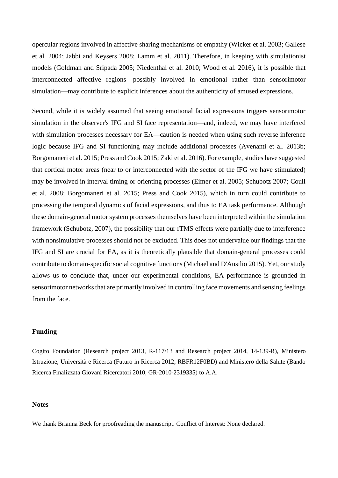opercular regions involved in affective sharing mechanisms of empathy (Wicker et al. 2003; Gallese et al. 2004; Jabbi and Keysers 2008; Lamm et al. 2011). Therefore, in keeping with simulationist models (Goldman and Sripada 2005; Niedenthal et al. 2010; Wood et al. 2016), it is possible that interconnected affective regions—possibly involved in emotional rather than sensorimotor simulation—may contribute to explicit inferences about the authenticity of amused expressions.

Second, while it is widely assumed that seeing emotional facial expressions triggers sensorimotor simulation in the observer's IFG and SI face representation—and, indeed, we may have interfered with simulation processes necessary for EA—caution is needed when using such reverse inference logic because IFG and SI functioning may include additional processes (Avenanti et al. 2013b; Borgomaneri et al. 2015; Press and Cook 2015; Zaki et al. 2016). For example, studies have suggested that cortical motor areas (near to or interconnected with the sector of the IFG we have stimulated) may be involved in interval timing or orienting processes (Eimer et al. 2005; Schubotz 2007; Coull et al. 2008; Borgomaneri et al. 2015; Press and Cook 2015), which in turn could contribute to processing the temporal dynamics of facial expressions, and thus to EA task performance. Although these domain-general motor system processes themselves have been interpreted within the simulation framework (Schubotz, 2007), the possibility that our rTMS effects were partially due to interference with nonsimulative processes should not be excluded. This does not undervalue our findings that the IFG and SI are crucial for EA, as it is theoretically plausible that domain-general processes could contribute to domain-specific social cognitive functions (Michael and D'Ausilio 2015). Yet, our study allows us to conclude that, under our experimental conditions, EA performance is grounded in sensorimotor networks that are primarily involved in controlling face movements and sensing feelings from the face.

# **Funding**

Cogito Foundation (Research project 2013, R-117/13 and Research project 2014, 14-139-R), Ministero Istruzione, Università e Ricerca (Futuro in Ricerca 2012, RBFR12F0BD) and Ministero della Salute (Bando Ricerca Finalizzata Giovani Ricercatori 2010, GR-2010-2319335) to A.A.

#### **Notes**

We thank Brianna Beck for proofreading the manuscript. Conflict of Interest: None declared.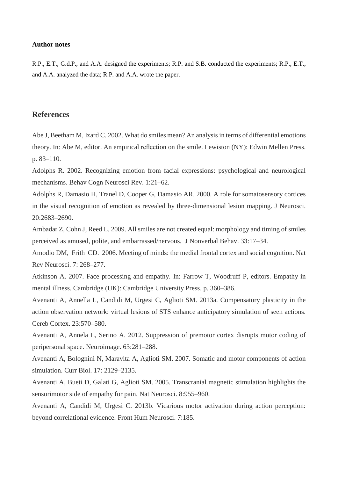#### **Author notes**

R.P., E.T., G.d.P., and A.A. designed the experiments; R.P. and S.B. conducted the experiments; R.P., E.T., and A.A. analyzed the data; R.P. and A.A. wrote the paper.

# **References**

Abe J, Beetham M, Izard C. 2002. What do smiles mean? An analysis in terms of differential emotions theory. In: Abe M, editor. An empirical reflection on the smile. Lewiston (NY): Edwin Mellen Press. p. 83–110.

Adolphs R. 2002. Recognizing emotion from facial expressions: psychological and neurological mechanisms. Behav Cogn Neurosci Rev. 1:21–62.

Adolphs R, Damasio H, Tranel D, Cooper G, Damasio AR. 2000. A role for somatosensory cortices in the visual recognition of emotion as revealed by three-dimensional lesion mapping. J Neurosci. 20:2683–2690.

Ambadar Z, Cohn J, Reed L. 2009. All smiles are not created equal: morphology and timing of smiles perceived as amused, polite, and embarrassed/nervous. J Nonverbal Behav. 33:17–34.

Amodio DM, Frith CD. 2006. Meeting of minds: the medial frontal cortex and social cognition. Nat Rev Neurosci. 7: 268–277.

Atkinson A. 2007. Face processing and empathy. In: Farrow T, Woodruff P, editors. Empathy in mental illness. Cambridge (UK): Cambridge University Press. p. 360–386.

Avenanti A, Annella L, Candidi M, Urgesi C, Aglioti SM. 2013a. Compensatory plasticity in the action observation network: virtual lesions of STS enhance anticipatory simulation of seen actions. Cereb Cortex. 23:570–580.

Avenanti A, Annela L, Serino A. 2012. Suppression of premotor cortex disrupts motor coding of peripersonal space. Neuroimage. 63:281–288.

Avenanti A, Bolognini N, Maravita A, Aglioti SM. 2007. Somatic and motor components of action simulation. Curr Biol. 17: 2129–2135.

Avenanti A, Bueti D, Galati G, Aglioti SM. 2005. Transcranial magnetic stimulation highlights the sensorimotor side of empathy for pain. Nat Neurosci. 8:955–960.

Avenanti A, Candidi M, Urgesi C. 2013b. Vicarious motor activation during action perception: beyond correlational evidence. Front Hum Neurosci. 7:185.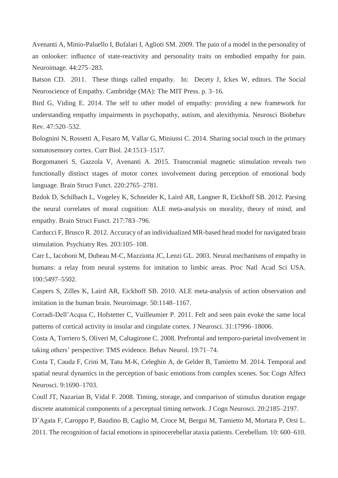Avenanti A, Minio-Paluello I, Bufalari I, Aglioti SM. 2009. The pain of a model in the personality of an onlooker: influence of state-reactivity and personality traits on embodied empathy for pain. Neuroimage. 44:275–283.

Batson CD. 2011. These things called empathy. In: Decety J, Ickes W, editors. The Social Neuroscience of Empathy. Cambridge (MA): The MIT Press. p. 3–16.

Bird G, Viding E. 2014. The self to other model of empathy: providing a new framework for understanding empathy impairments in psychopathy, autism, and alexithymia. Neurosci Biobehav Rev. 47:520–532.

Bolognini N, Rossetti A, Fusaro M, Vallar G, Miniussi C. 2014. Sharing social touch in the primary somatosensory cortex. Curr Biol. 24:1513–1517.

Borgomaneri S, Gazzola V, Avenanti A. 2015. Transcranial magnetic stimulation reveals two functionally distinct stages of motor cortex involvement during perception of emotional body language. Brain Struct Funct. 220:2765–2781.

Bzdok D, Schilbach L, Vogeley K, Schneider K, Laird AR, Langner R, Eickhoff SB. 2012. Parsing the neural correlates of moral cognition: ALE meta-analysis on morality, theory of mind, and empathy. Brain Struct Funct. 217:783–796.

Carducci F, Brusco R. 2012. Accuracy of an individualized MR-based head model for navigated brain stimulation. Psychiatry Res. 203:105–108.

Carr L, Iacoboni M, Dubeau M-C, Mazziotta JC, Lenzi GL. 2003. Neural mechanisms of empathy in humans: a relay from neural systems for imitation to limbic areas. Proc Natl Acad Sci USA. 100:5497–5502.

Caspers S, Zilles K, Laird AR, Eickhoff SB. 2010. ALE meta-analysis of action observation and imitation in the human brain. Neuroimage. 50:1148–1167.

Corradi-Dell'Acqua C, Hofstetter C, Vuilleumier P. 2011. Felt and seen pain evoke the same local patterns of cortical activity in insular and cingulate cortex. J Neurosci. 31:17996–18006.

Costa A, Torriero S, Oliveri M, Caltagirone C. 2008. Prefrontal and temporo-parietal involvement in taking others' perspective: TMS evidence. Behav Neurol. 19:71–74.

Costa T, Cauda F, Crini M, Tatu M-K, Celeghin A, de Gelder B, Tamietto M. 2014. Temporal and spatial neural dynamics in the perception of basic emotions from complex scenes. Soc Cogn Affect Neurosci. 9:1690–1703.

Coull JT, Nazarian B, Vidal F. 2008. Timing, storage, and comparison of stimulus duration engage discrete anatomical components of a perceptual timing network. J Cogn Neurosci. 20:2185–2197.

D'Agata F, Caroppo P, Baudino B, Caglio M, Croce M, Bergui M, Tamietto M, Mortara P, Orsi L. 2011. The recognition of facial emotions in spinocerebellar ataxia patients. Cerebellum. 10: 600–610.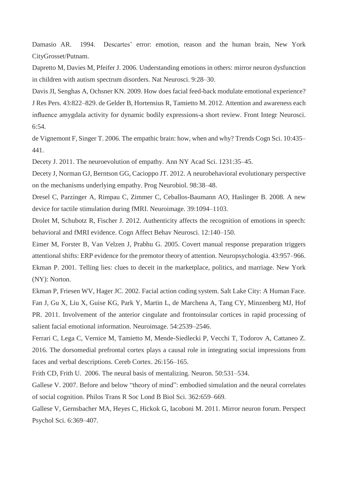Damasio AR. 1994. Descartes' error: emotion, reason and the human brain, New York CityGrosset/Putnam.

Dapretto M, Davies M, Pfeifer J. 2006. Understanding emotions in others: mirror neuron dysfunction in children with autism spectrum disorders. Nat Neurosci. 9:28–30.

Davis JI, Senghas A, Ochsner KN. 2009. How does facial feed-back modulate emotional experience? J Res Pers. 43:822–829. de Gelder B, Hortensius R, Tamietto M. 2012. Attention and awareness each influence amygdala activity for dynamic bodily expressions-a short review. Front Integr Neurosci. 6:54.

de Vignemont F, Singer T. 2006. The empathic brain: how, when and why? Trends Cogn Sci. 10:435– 441.

Decety J. 2011. The neuroevolution of empathy. Ann NY Acad Sci. 1231:35–45.

Decety J, Norman GJ, Berntson GG, Cacioppo JT. 2012. A neurobehavioral evolutionary perspective on the mechanisms underlying empathy. Prog Neurobiol. 98:38–48.

Dresel C, Parzinger A, Rimpau C, Zimmer C, Ceballos-Baumann AO, Haslinger B. 2008. A new device for tactile stimulation during fMRI. Neuroimage. 39:1094–1103.

Drolet M, Schubotz R, Fischer J. 2012. Authenticity affects the recognition of emotions in speech: behavioral and fMRI evidence. Cogn Affect Behav Neurosci. 12:140–150.

Eimer M, Forster B, Van Velzen J, Prabhu G. 2005. Covert manual response preparation triggers attentional shifts: ERP evidence for the premotor theory of attention. Neuropsychologia. 43:957–966. Ekman P. 2001. Telling lies: clues to deceit in the marketplace, politics, and marriage. New York (NY): Norton.

Ekman P, Friesen WV, Hager JC. 2002. Facial action coding system. Salt Lake City: A Human Face. Fan J, Gu X, Liu X, Guise KG, Park Y, Martin L, de Marchena A, Tang CY, Minzenberg MJ, Hof PR. 2011. Involvement of the anterior cingulate and frontoinsular cortices in rapid processing of salient facial emotional information. Neuroimage. 54:2539–2546.

Ferrari C, Lega C, Vernice M, Tamietto M, Mende-Siedlecki P, Vecchi T, Todorov A, Cattaneo Z. 2016. The dorsomedial prefrontal cortex plays a causal role in integrating social impressions from faces and verbal descriptions. Cereb Cortex. 26:156–165.

Frith CD, Frith U. 2006. The neural basis of mentalizing. Neuron. 50:531–534.

Gallese V. 2007. Before and below "theory of mind": embodied simulation and the neural correlates of social cognition. Philos Trans R Soc Lond B Biol Sci. 362:659–669.

Gallese V, Gernsbacher MA, Heyes C, Hickok G, Iacoboni M. 2011. Mirror neuron forum. Perspect Psychol Sci. 6:369–407.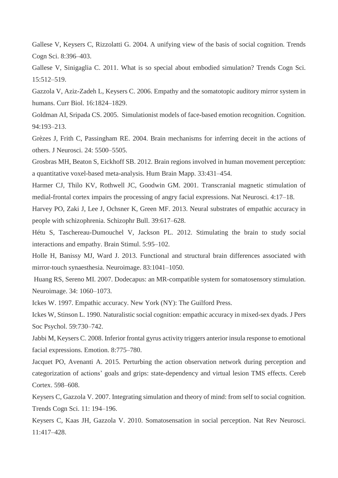Gallese V, Keysers C, Rizzolatti G. 2004. A unifying view of the basis of social cognition. Trends Cogn Sci. 8:396–403.

Gallese V, Sinigaglia C. 2011. What is so special about embodied simulation? Trends Cogn Sci. 15:512–519.

Gazzola V, Aziz-Zadeh L, Keysers C. 2006. Empathy and the somatotopic auditory mirror system in humans. Curr Biol. 16:1824–1829.

Goldman AI, Sripada CS. 2005. Simulationist models of face-based emotion recognition. Cognition. 94:193–213.

Grèzes J, Frith C, Passingham RE. 2004. Brain mechanisms for inferring deceit in the actions of others. J Neurosci. 24: 5500–5505.

Grosbras MH, Beaton S, Eickhoff SB. 2012. Brain regions involved in human movement perception: a quantitative voxel-based meta-analysis. Hum Brain Mapp. 33:431–454.

Harmer CJ, Thilo KV, Rothwell JC, Goodwin GM. 2001. Transcranial magnetic stimulation of medial-frontal cortex impairs the processing of angry facial expressions. Nat Neurosci. 4:17–18.

Harvey PO, Zaki J, Lee J, Ochsner K, Green MF. 2013. Neural substrates of empathic accuracy in people with schizophrenia. Schizophr Bull. 39:617–628.

Hétu S, Taschereau-Dumouchel V, Jackson PL. 2012. Stimulating the brain to study social interactions and empathy. Brain Stimul. 5:95–102.

Holle H, Banissy MJ, Ward J. 2013. Functional and structural brain differences associated with mirror-touch synaesthesia. Neuroimage. 83:1041–1050.

Huang RS, Sereno MI. 2007. Dodecapus: an MR-compatible system for somatosensory stimulation. Neuroimage. 34: 1060–1073.

Ickes W. 1997. Empathic accuracy. New York (NY): The Guilford Press.

Ickes W, Stinson L. 1990. Naturalistic social cognition: empathic accuracy in mixed-sex dyads. J Pers Soc Psychol. 59:730–742.

Jabbi M, Keysers C. 2008. Inferior frontal gyrus activity triggers anterior insula response to emotional facial expressions. Emotion. 8:775–780.

Jacquet PO, Avenanti A. 2015. Perturbing the action observation network during perception and categorization of actions' goals and grips: state-dependency and virtual lesion TMS effects. Cereb Cortex. 598–608.

Keysers C, Gazzola V. 2007. Integrating simulation and theory of mind: from self to social cognition. Trends Cogn Sci. 11: 194–196.

Keysers C, Kaas JH, Gazzola V. 2010. Somatosensation in social perception. Nat Rev Neurosci. 11:417–428.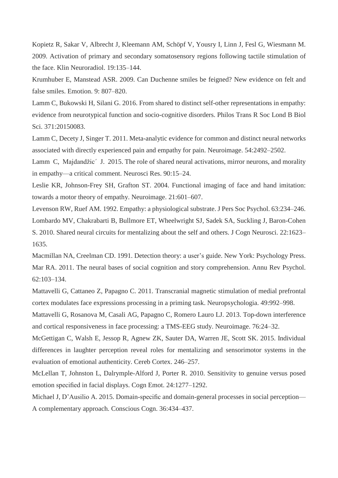Kopietz R, Sakar V, Albrecht J, Kleemann AM, Schöpf V, Yousry I, Linn J, Fesl G, Wiesmann M. 2009. Activation of primary and secondary somatosensory regions following tactile stimulation of the face. Klin Neuroradiol. 19:135–144.

Krumhuber E, Manstead ASR. 2009. Can Duchenne smiles be feigned? New evidence on felt and false smiles. Emotion. 9: 807–820.

Lamm C, Bukowski H, Silani G. 2016. From shared to distinct self-other representations in empathy: evidence from neurotypical function and socio-cognitive disorders. Philos Trans R Soc Lond B Biol Sci. 371:20150083.

Lamm C, Decety J, Singer T. 2011. Meta-analytic evidence for common and distinct neural networks associated with directly experienced pain and empathy for pain. Neuroimage. 54:2492–2502.

Lamm C, Majdandžic´ J. 2015. The role of shared neural activations, mirror neurons, and morality in empathy—a critical comment. Neurosci Res. 90:15–24.

Leslie KR, Johnson-Frey SH, Grafton ST. 2004. Functional imaging of face and hand imitation: towards a motor theory of empathy. Neuroimage. 21:601–607.

Levenson RW, Ruef AM. 1992. Empathy: a physiological substrate. J Pers Soc Psychol. 63:234–246. Lombardo MV, Chakrabarti B, Bullmore ET, Wheelwright SJ, Sadek SA, Suckling J, Baron-Cohen S. 2010. Shared neural circuits for mentalizing about the self and others. J Cogn Neurosci. 22:1623– 1635.

Macmillan NA, Creelman CD. 1991. Detection theory: a user's guide. New York: Psychology Press. Mar RA. 2011. The neural bases of social cognition and story comprehension. Annu Rev Psychol. 62:103–134.

Mattavelli G, Cattaneo Z, Papagno C. 2011. Transcranial magnetic stimulation of medial prefrontal cortex modulates face expressions processing in a priming task. Neuropsychologia. 49:992–998.

Mattavelli G, Rosanova M, Casali AG, Papagno C, Romero Lauro LJ. 2013. Top-down interference and cortical responsiveness in face processing: a TMS-EEG study. Neuroimage. 76:24–32.

McGettigan C, Walsh E, Jessop R, Agnew ZK, Sauter DA, Warren JE, Scott SK. 2015. Individual differences in laughter perception reveal roles for mentalizing and sensorimotor systems in the evaluation of emotional authenticity. Cereb Cortex. 246–257.

McLellan T, Johnston L, Dalrymple-Alford J, Porter R. 2010. Sensitivity to genuine versus posed emotion specified in facial displays. Cogn Emot. 24:1277–1292.

Michael J, D'Ausilio A. 2015. Domain-specific and domain-general processes in social perception— A complementary approach. Conscious Cogn. 36:434–437.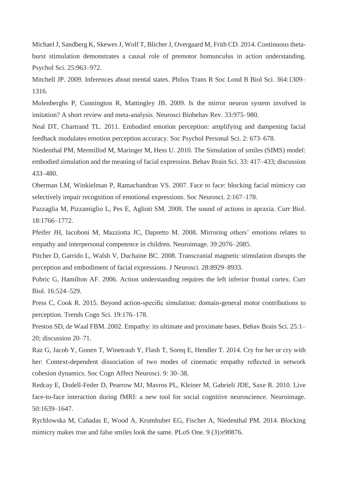Michael J, Sandberg K, Skewes J, Wolf T, Blicher J, Overgaard M, Frith CD. 2014. Continuous thetaburst stimulation demonstrates a causal role of premotor homunculus in action understanding. Psychol Sci. 25:963–972.

Mitchell JP. 2009. Inferences about mental states. Philos Trans R Soc Lond B Biol Sci. 364:1309– 1316.

Molenberghs P, Cunnington R, Mattingley JB. 2009. Is the mirror neuron system involved in imitation? A short review and meta-analysis. Neurosci Biobehav Rev. 33:975–980.

Neal DT, Chartrand TL. 2011. Embodied emotion perception: amplifying and dampening facial feedback modulates emotion perception accuracy. Soc Psychol Personal Sci. 2: 673–678.

Niedenthal PM, Mermillod M, Maringer M, Hess U. 2010. The Simulation of smiles (SIMS) model: embodied simulation and the meaning of facial expression. Behav Brain Sci. 33: 417–433; discussion 433–480.

Oberman LM, Winkielman P, Ramachandran VS. 2007. Face to face: blocking facial mimicry can selectively impair recognition of emotional expressions. Soc Neurosci. 2:167–178.

Pazzaglia M, Pizzamiglio L, Pes E, Aglioti SM. 2008. The sound of actions in apraxia. Curr Biol. 18:1766–1772.

Pfeifer JH, Iacoboni M, Mazziotta JC, Dapretto M. 2008. Mirroring others' emotions relates to empathy and interpersonal competence in children. Neuroimage. 39:2076–2085.

Pitcher D, Garrido L, Walsh V, Duchaine BC. 2008. Transcranial magnetic stimulation disrupts the perception and embodiment of facial expressions. J Neurosci. 28:8929–8933.

Pobric G, Hamilton AF. 2006. Action understanding requires the left inferior frontal cortex. Curr Biol. 16:524–529.

Press C, Cook R. 2015. Beyond action-specific simulation: domain-general motor contributions to perception. Trends Cogn Sci. 19:176–178.

Preston SD, de Waal FBM. 2002. Empathy: its ultimate and proximate bases. Behav Brain Sci. 25:1– 20; discussion 20–71.

Raz G, Jacob Y, Gonen T, Winetraub Y, Flash T, Soreq E, Hendler T. 2014. Cry for her or cry with her: Context-dependent dissociation of two modes of cinematic empathy reflected in network cohesion dynamics. Soc Cogn Affect Neurosci. 9: 30–38.

Redcay E, Dodell-Feder D, Pearrow MJ, Mavros PL, Kleiner M, Gabrieli JDE, Saxe R. 2010. Live face-to-face interaction during fMRI: a new tool for social cognitive neuroscience. Neuroimage. 50:1639–1647.

Rychlowska M, Cañadas E, Wood A, Krumhuber EG, Fischer A, Niedenthal PM. 2014. Blocking mimicry makes true and false smiles look the same. PLoS One. 9 (3):e90876.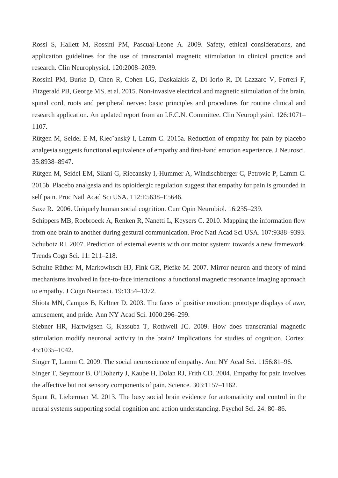Rossi S, Hallett M, Rossini PM, Pascual-Leone A. 2009. Safety, ethical considerations, and application guidelines for the use of transcranial magnetic stimulation in clinical practice and research. Clin Neurophysiol. 120:2008–2039.

Rossini PM, Burke D, Chen R, Cohen LG, Daskalakis Z, Di Iorio R, Di Lazzaro V, Ferreri F, Fitzgerald PB, George MS, et al. 2015. Non-invasive electrical and magnetic stimulation of the brain, spinal cord, roots and peripheral nerves: basic principles and procedures for routine clinical and research application. An updated report from an I.F.C.N. Committee. Clin Neurophysiol. 126:1071– 1107.

Rütgen M, Seidel E-M, Riecˇanský I, Lamm C. 2015a. Reduction of empathy for pain by placebo analgesia suggests functional equivalence of empathy and first-hand emotion experience. J Neurosci. 35:8938–8947.

Rütgen M, Seidel EM, Silani G, Riecansky I, Hummer A, Windischberger C, Petrovic P, Lamm C. 2015b. Placebo analgesia and its opioidergic regulation suggest that empathy for pain is grounded in self pain. Proc Natl Acad Sci USA. 112:E5638–E5646.

Saxe R. 2006. Uniquely human social cognition. Curr Opin Neurobiol. 16:235–239.

Schippers MB, Roebroeck A, Renken R, Nanetti L, Keysers C. 2010. Mapping the information flow from one brain to another during gestural communication. Proc Natl Acad Sci USA. 107:9388–9393. Schubotz RI. 2007. Prediction of external events with our motor system: towards a new framework. Trends Cogn Sci. 11: 211–218.

Schulte-Rüther M, Markowitsch HJ, Fink GR, Piefke M. 2007. Mirror neuron and theory of mind mechanisms involved in face-to-face interactions: a functional magnetic resonance imaging approach to empathy. J Cogn Neurosci. 19:1354–1372.

Shiota MN, Campos B, Keltner D. 2003. The faces of positive emotion: prototype displays of awe, amusement, and pride. Ann NY Acad Sci. 1000:296–299.

Siebner HR, Hartwigsen G, Kassuba T, Rothwell JC. 2009. How does transcranial magnetic stimulation modify neuronal activity in the brain? Implications for studies of cognition. Cortex. 45:1035–1042.

Singer T, Lamm C. 2009. The social neuroscience of empathy. Ann NY Acad Sci. 1156:81–96.

Singer T, Seymour B, O'Doherty J, Kaube H, Dolan RJ, Frith CD. 2004. Empathy for pain involves the affective but not sensory components of pain. Science. 303:1157–1162.

Spunt R, Lieberman M. 2013. The busy social brain evidence for automaticity and control in the neural systems supporting social cognition and action understanding. Psychol Sci. 24: 80–86.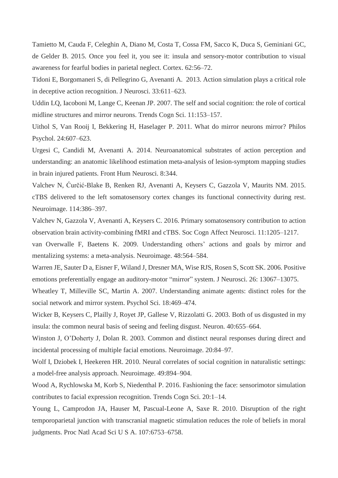Tamietto M, Cauda F, Celeghin A, Diano M, Costa T, Cossa FM, Sacco K, Duca S, Geminiani GC, de Gelder B. 2015. Once you feel it, you see it: insula and sensory-motor contribution to visual awareness for fearful bodies in parietal neglect. Cortex. 62:56–72.

Tidoni E, Borgomaneri S, di Pellegrino G, Avenanti A. 2013. Action simulation plays a critical role in deceptive action recognition. J Neurosci. 33:611–623.

Uddin LQ, Iacoboni M, Lange C, Keenan JP. 2007. The self and social cognition: the role of cortical midline structures and mirror neurons. Trends Cogn Sci. 11:153–157.

Uithol S, Van Rooij I, Bekkering H, Haselager P. 2011. What do mirror neurons mirror? Philos Psychol. 24:607–623.

Urgesi C, Candidi M, Avenanti A. 2014. Neuroanatomical substrates of action perception and understanding: an anatomic likelihood estimation meta-analysis of lesion-symptom mapping studies in brain injured patients. Front Hum Neurosci. 8:344.

Valchev N, Ćurčić-Blake B, Renken RJ, Avenanti A, Keysers C, Gazzola V, Maurits NM. 2015. cTBS delivered to the left somatosensory cortex changes its functional connectivity during rest. Neuroimage. 114:386–397.

Valchev N, Gazzola V, Avenanti A, Keysers C. 2016. Primary somatosensory contribution to action observation brain activity-combining fMRI and cTBS. Soc Cogn Affect Neurosci. 11:1205–1217.

van Overwalle F, Baetens K. 2009. Understanding others' actions and goals by mirror and mentalizing systems: a meta-analysis. Neuroimage. 48:564–584.

Warren JE, Sauter D a, Eisner F, Wiland J, Dresner MA, Wise RJS, Rosen S, Scott SK. 2006. Positive emotions preferentially engage an auditory-motor "mirror" system. J Neurosci. 26: 13067–13075.

Wheatley T, Milleville SC, Martin A. 2007. Understanding animate agents: distinct roles for the social network and mirror system. Psychol Sci. 18:469–474.

Wicker B, Keysers C, Plailly J, Royet JP, Gallese V, Rizzolatti G. 2003. Both of us disgusted in my insula: the common neural basis of seeing and feeling disgust. Neuron. 40:655–664.

Winston J, O'Doherty J, Dolan R. 2003. Common and distinct neural responses during direct and incidental processing of multiple facial emotions. Neuroimage. 20:84–97.

Wolf I, Dziobek I, Heekeren HR. 2010. Neural correlates of social cognition in naturalistic settings: a model-free analysis approach. Neuroimage. 49:894–904.

Wood A, Rychlowska M, Korb S, Niedenthal P. 2016. Fashioning the face: sensorimotor simulation contributes to facial expression recognition. Trends Cogn Sci. 20:1–14.

Young L, Camprodon JA, Hauser M, Pascual-Leone A, Saxe R. 2010. Disruption of the right temporoparietal junction with transcranial magnetic stimulation reduces the role of beliefs in moral judgments. Proc Natl Acad Sci U S A. 107:6753–6758.